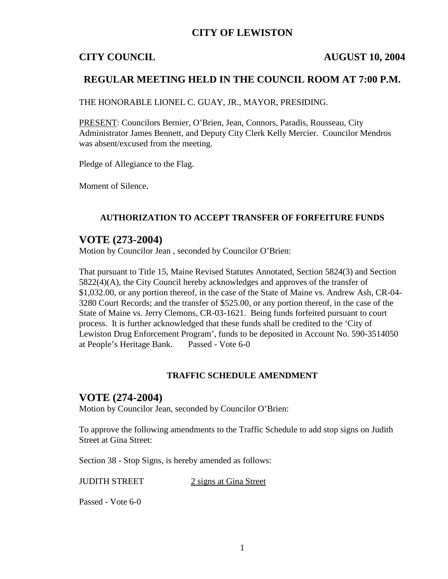## **CITY OF LEWISTON**

### **CITY COUNCIL AUGUST 10, 2004**

## **REGULAR MEETING HELD IN THE COUNCIL ROOM AT 7:00 P.M.**

THE HONORABLE LIONEL C. GUAY, JR., MAYOR, PRESIDING.

PRESENT: Councilors Bernier, O'Brien, Jean, Connors, Paradis, Rousseau, City Administrator James Bennett, and Deputy City Clerk Kelly Mercier. Councilor Mendros was absent/excused from the meeting.

Pledge of Allegiance to the Flag.

Moment of Silence.

#### **AUTHORIZATION TO ACCEPT TRANSFER OF FORFEITURE FUNDS**

## **VOTE (273-2004)**

Motion by Councilor Jean , seconded by Councilor O'Brien:

That pursuant to Title 15, Maine Revised Statutes Annotated, Section 5824(3) and Section 5822(4)(A), the City Council hereby acknowledges and approves of the transfer of \$1,032.00, or any portion thereof, in the case of the State of Maine vs. Andrew Ash, CR-04- 3280 Court Records; and the transfer of \$525.00, or any portion thereof, in the case of the State of Maine vs. Jerry Clemons, CR-03-1621. Being funds forfeited pursuant to court process. It is further acknowledged that these funds shall be credited to the 'City of Lewiston Drug Enforcement Program', funds to be deposited in Account No. 590-3514050 at People's Heritage Bank. Passed - Vote 6-0

#### **TRAFFIC SCHEDULE AMENDMENT**

### **VOTE (274-2004)**

Motion by Councilor Jean, seconded by Councilor O'Brien:

To approve the following amendments to the Traffic Schedule to add stop signs on Judith Street at Gina Street:

Section 38 - Stop Signs, is hereby amended as follows:

JUDITH STREET 2 signs at Gina Street

Passed - Vote 6-0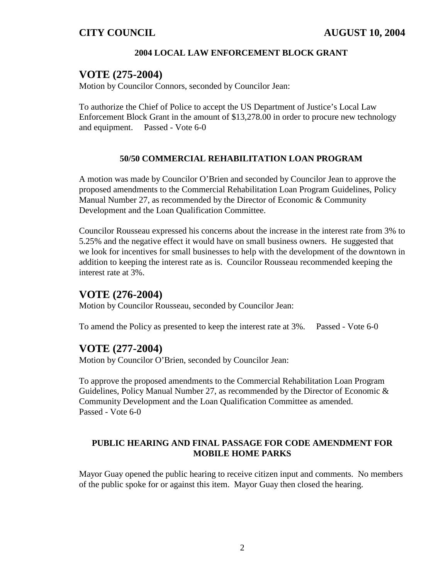### **2004 LOCAL LAW ENFORCEMENT BLOCK GRANT**

## **VOTE (275-2004)**

Motion by Councilor Connors, seconded by Councilor Jean:

To authorize the Chief of Police to accept the US Department of Justice's Local Law Enforcement Block Grant in the amount of \$13,278.00 in order to procure new technology and equipment. Passed - Vote 6-0

### **50/50 COMMERCIAL REHABILITATION LOAN PROGRAM**

A motion was made by Councilor O'Brien and seconded by Councilor Jean to approve the proposed amendments to the Commercial Rehabilitation Loan Program Guidelines, Policy Manual Number 27, as recommended by the Director of Economic & Community Development and the Loan Qualification Committee.

Councilor Rousseau expressed his concerns about the increase in the interest rate from 3% to 5.25% and the negative effect it would have on small business owners. He suggested that we look for incentives for small businesses to help with the development of the downtown in addition to keeping the interest rate as is. Councilor Rousseau recommended keeping the interest rate at 3%.

## **VOTE (276-2004)**

Motion by Councilor Rousseau, seconded by Councilor Jean:

To amend the Policy as presented to keep the interest rate at 3%. Passed - Vote 6-0

## **VOTE (277-2004)**

Motion by Councilor O'Brien, seconded by Councilor Jean:

To approve the proposed amendments to the Commercial Rehabilitation Loan Program Guidelines, Policy Manual Number 27, as recommended by the Director of Economic & Community Development and the Loan Qualification Committee as amended. Passed - Vote 6-0

### **PUBLIC HEARING AND FINAL PASSAGE FOR CODE AMENDMENT FOR MOBILE HOME PARKS**

Mayor Guay opened the public hearing to receive citizen input and comments. No members of the public spoke for or against this item. Mayor Guay then closed the hearing.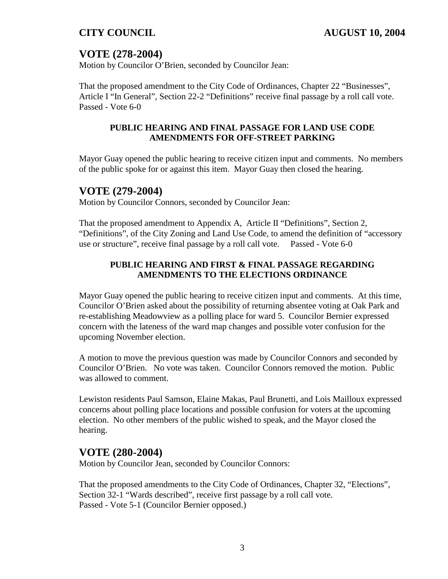# **VOTE (278-2004)**

Motion by Councilor O'Brien, seconded by Councilor Jean:

That the proposed amendment to the City Code of Ordinances, Chapter 22 "Businesses", Article I "In General", Section 22-2 "Definitions" receive final passage by a roll call vote. Passed - Vote 6-0

## **PUBLIC HEARING AND FINAL PASSAGE FOR LAND USE CODE AMENDMENTS FOR OFF-STREET PARKING**

Mayor Guay opened the public hearing to receive citizen input and comments. No members of the public spoke for or against this item. Mayor Guay then closed the hearing.

## **VOTE (279-2004)**

Motion by Councilor Connors, seconded by Councilor Jean:

That the proposed amendment to Appendix A, Article II "Definitions", Section 2, "Definitions", of the City Zoning and Land Use Code, to amend the definition of "accessory use or structure", receive final passage by a roll call vote. Passed - Vote 6-0

## **PUBLIC HEARING AND FIRST & FINAL PASSAGE REGARDING AMENDMENTS TO THE ELECTIONS ORDINANCE**

Mayor Guay opened the public hearing to receive citizen input and comments. At this time, Councilor O'Brien asked about the possibility of returning absentee voting at Oak Park and re-establishing Meadowview as a polling place for ward 5. Councilor Bernier expressed concern with the lateness of the ward map changes and possible voter confusion for the upcoming November election.

A motion to move the previous question was made by Councilor Connors and seconded by Councilor O'Brien. No vote was taken. Councilor Connors removed the motion. Public was allowed to comment.

Lewiston residents Paul Samson, Elaine Makas, Paul Brunetti, and Lois Mailloux expressed concerns about polling place locations and possible confusion for voters at the upcoming election. No other members of the public wished to speak, and the Mayor closed the hearing.

## **VOTE (280-2004)**

Motion by Councilor Jean, seconded by Councilor Connors:

That the proposed amendments to the City Code of Ordinances, Chapter 32, "Elections", Section 32-1 "Wards described", receive first passage by a roll call vote. Passed - Vote 5-1 (Councilor Bernier opposed.)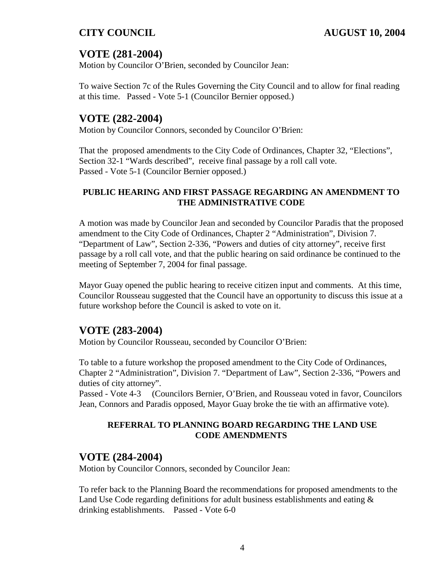# **VOTE (281-2004)**

Motion by Councilor O'Brien, seconded by Councilor Jean:

To waive Section 7c of the Rules Governing the City Council and to allow for final reading at this time. Passed - Vote 5-1 (Councilor Bernier opposed.)

## **VOTE (282-2004)**

Motion by Councilor Connors, seconded by Councilor O'Brien:

That the proposed amendments to the City Code of Ordinances, Chapter 32, "Elections", Section 32-1 "Wards described", receive final passage by a roll call vote. Passed - Vote 5-1 (Councilor Bernier opposed.)

## **PUBLIC HEARING AND FIRST PASSAGE REGARDING AN AMENDMENT TO THE ADMINISTRATIVE CODE**

A motion was made by Councilor Jean and seconded by Councilor Paradis that the proposed amendment to the City Code of Ordinances, Chapter 2 "Administration", Division 7. "Department of Law", Section 2-336, "Powers and duties of city attorney", receive first passage by a roll call vote, and that the public hearing on said ordinance be continued to the meeting of September 7, 2004 for final passage.

Mayor Guay opened the public hearing to receive citizen input and comments. At this time, Councilor Rousseau suggested that the Council have an opportunity to discuss this issue at a future workshop before the Council is asked to vote on it.

## **VOTE (283-2004)**

Motion by Councilor Rousseau, seconded by Councilor O'Brien:

To table to a future workshop the proposed amendment to the City Code of Ordinances, Chapter 2 "Administration", Division 7. "Department of Law", Section 2-336, "Powers and duties of city attorney".

Passed - Vote 4-3 (Councilors Bernier, O'Brien, and Rousseau voted in favor, Councilors Jean, Connors and Paradis opposed, Mayor Guay broke the tie with an affirmative vote).

## **REFERRAL TO PLANNING BOARD REGARDING THE LAND USE CODE AMENDMENTS**

# **VOTE (284-2004)**

Motion by Councilor Connors, seconded by Councilor Jean:

To refer back to the Planning Board the recommendations for proposed amendments to the Land Use Code regarding definitions for adult business establishments and eating  $\&$ drinking establishments. Passed - Vote 6-0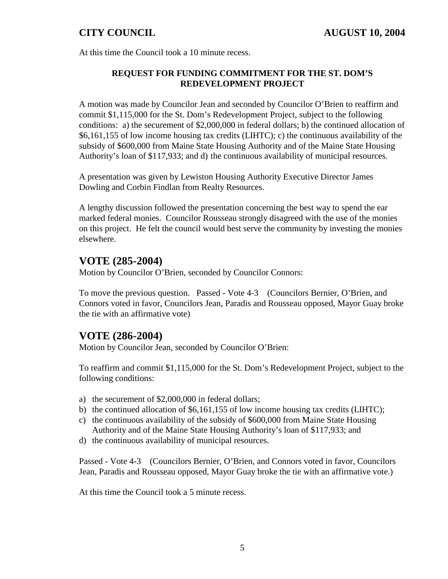At this time the Council took a 10 minute recess.

## **REQUEST FOR FUNDING COMMITMENT FOR THE ST. DOM'S REDEVELOPMENT PROJECT**

A motion was made by Councilor Jean and seconded by Councilor O'Brien to reaffirm and commit \$1,115,000 for the St. Dom's Redevelopment Project, subject to the following conditions: a) the securement of \$2,000,000 in federal dollars; b) the continued allocation of \$6,161,155 of low income housing tax credits (LIHTC); c) the continuous availability of the subsidy of \$600,000 from Maine State Housing Authority and of the Maine State Housing Authority's loan of \$117,933; and d) the continuous availability of municipal resources.

A presentation was given by Lewiston Housing Authority Executive Director James Dowling and Corbin Findlan from Realty Resources.

A lengthy discussion followed the presentation concerning the best way to spend the ear marked federal monies. Councilor Rousseau strongly disagreed with the use of the monies on this project. He felt the council would best serve the community by investing the monies elsewhere.

## **VOTE (285-2004)**

Motion by Councilor O'Brien, seconded by Councilor Connors:

To move the previous question. Passed - Vote 4-3 (Councilors Bernier, O'Brien, and Connors voted in favor, Councilors Jean, Paradis and Rousseau opposed, Mayor Guay broke the tie with an affirmative vote)

## **VOTE (286-2004)**

Motion by Councilor Jean, seconded by Councilor O'Brien:

To reaffirm and commit \$1,115,000 for the St. Dom's Redevelopment Project, subject to the following conditions:

- a) the securement of \$2,000,000 in federal dollars;
- b) the continued allocation of \$6,161,155 of low income housing tax credits (LIHTC);
- c) the continuous availability of the subsidy of \$600,000 from Maine State Housing Authority and of the Maine State Housing Authority's loan of \$117,933; and
- d) the continuous availability of municipal resources.

Passed - Vote 4-3 (Councilors Bernier, O'Brien, and Connors voted in favor, Councilors Jean, Paradis and Rousseau opposed, Mayor Guay broke the tie with an affirmative vote.)

At this time the Council took a 5 minute recess.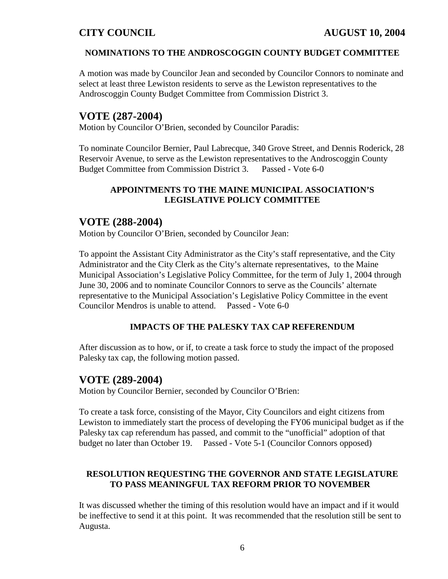#### **NOMINATIONS TO THE ANDROSCOGGIN COUNTY BUDGET COMMITTEE**

A motion was made by Councilor Jean and seconded by Councilor Connors to nominate and select at least three Lewiston residents to serve as the Lewiston representatives to the Androscoggin County Budget Committee from Commission District 3.

## **VOTE (287-2004)**

Motion by Councilor O'Brien, seconded by Councilor Paradis:

To nominate Councilor Bernier, Paul Labrecque, 340 Grove Street, and Dennis Roderick, 28 Reservoir Avenue, to serve as the Lewiston representatives to the Androscoggin County Budget Committee from Commission District 3. Passed - Vote 6-0

## **APPOINTMENTS TO THE MAINE MUNICIPAL ASSOCIATION'S LEGISLATIVE POLICY COMMITTEE**

## **VOTE (288-2004)**

Motion by Councilor O'Brien, seconded by Councilor Jean:

To appoint the Assistant City Administrator as the City's staff representative, and the City Administrator and the City Clerk as the City's alternate representatives, to the Maine Municipal Association's Legislative Policy Committee, for the term of July 1, 2004 through June 30, 2006 and to nominate Councilor Connors to serve as the Councils' alternate representative to the Municipal Association's Legislative Policy Committee in the event Councilor Mendros is unable to attend. Passed - Vote 6-0

#### **IMPACTS OF THE PALESKY TAX CAP REFERENDUM**

After discussion as to how, or if, to create a task force to study the impact of the proposed Palesky tax cap, the following motion passed.

## **VOTE (289-2004)**

Motion by Councilor Bernier, seconded by Councilor O'Brien:

To create a task force, consisting of the Mayor, City Councilors and eight citizens from Lewiston to immediately start the process of developing the FY06 municipal budget as if the Palesky tax cap referendum has passed, and commit to the "unofficial" adoption of that budget no later than October 19. Passed - Vote 5-1 (Councilor Connors opposed)

## **RESOLUTION REQUESTING THE GOVERNOR AND STATE LEGISLATURE TO PASS MEANINGFUL TAX REFORM PRIOR TO NOVEMBER**

It was discussed whether the timing of this resolution would have an impact and if it would be ineffective to send it at this point. It was recommended that the resolution still be sent to Augusta.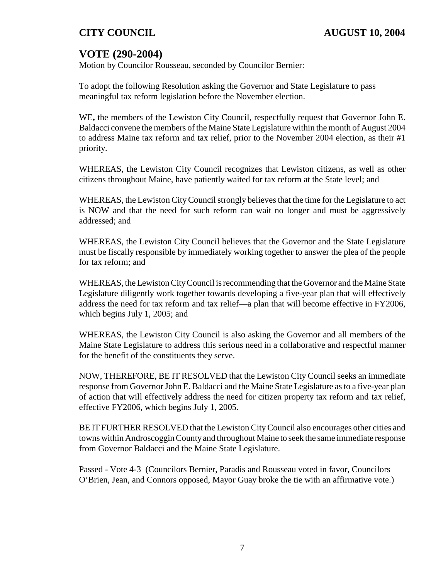# **VOTE (290-2004)**

Motion by Councilor Rousseau, seconded by Councilor Bernier:

To adopt the following Resolution asking the Governor and State Legislature to pass meaningful tax reform legislation before the November election.

WE**,** the members of the Lewiston City Council, respectfully request that Governor John E. Baldacci convene the members of the Maine State Legislature within the month of August 2004 to address Maine tax reform and tax relief, prior to the November 2004 election, as their #1 priority.

WHEREAS, the Lewiston City Council recognizes that Lewiston citizens, as well as other citizens throughout Maine, have patiently waited for tax reform at the State level; and

WHEREAS, the Lewiston City Council strongly believes that the time for the Legislature to act is NOW and that the need for such reform can wait no longer and must be aggressively addressed; and

WHEREAS, the Lewiston City Council believes that the Governor and the State Legislature must be fiscally responsible by immediately working together to answer the plea of the people for tax reform; and

WHEREAS, the Lewiston CityCouncil is recommending that the Governor and the Maine State Legislature diligently work together towards developing a five-year plan that will effectively address the need for tax reform and tax relief—a plan that will become effective in FY2006, which begins July 1, 2005; and

WHEREAS, the Lewiston City Council is also asking the Governor and all members of the Maine State Legislature to address this serious need in a collaborative and respectful manner for the benefit of the constituents they serve.

NOW, THEREFORE, BE IT RESOLVED that the Lewiston City Council seeks an immediate response from Governor John E. Baldacci and the Maine State Legislature as to a five-year plan of action that will effectively address the need for citizen property tax reform and tax relief, effective FY2006, which begins July 1, 2005.

BE IT FURTHER RESOLVED that the Lewiston City Council also encourages other cities and towns within Androscoggin Countyand throughout Maine to seek the same immediate response from Governor Baldacci and the Maine State Legislature.

Passed - Vote 4-3 (Councilors Bernier, Paradis and Rousseau voted in favor, Councilors O'Brien, Jean, and Connors opposed, Mayor Guay broke the tie with an affirmative vote.)